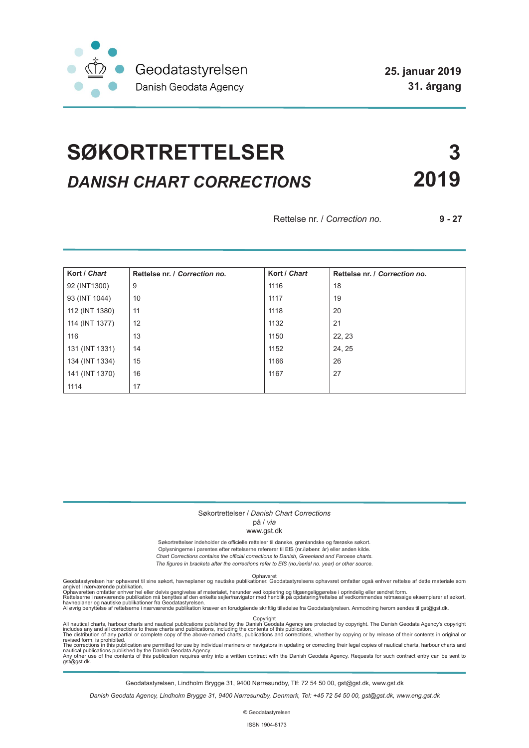

# **SØKORTRETTELSER 3** *DANISH CHART CORRECTIONS* **2019**

Rettelse nr. / *Correction no.* **9 - 27**

| Kort / Chart   | Rettelse nr. / Correction no. | Kort / Chart | Rettelse nr. / Correction no. |
|----------------|-------------------------------|--------------|-------------------------------|
| 92 (INT1300)   | 9                             | 1116         | 18                            |
| 93 (INT 1044)  | 10                            | 1117         | 19                            |
| 112 (INT 1380) | 11                            | 1118         | 20                            |
| 114 (INT 1377) | 12                            | 1132         | 21                            |
| 116            | 13                            | 1150         | 22, 23                        |
| 131 (INT 1331) | 14                            | 1152         | 24, 25                        |
| 134 (INT 1334) | 15                            | 1166         | 26                            |
| 141 (INT 1370) | 16                            | 1167         | 27                            |
| 1114           | 17                            |              |                               |

#### Søkortrettelser / *Danish Chart Corrections*

#### på / *via* www.gst.dk

Søkortrettelser indeholder de officielle rettelser til danske, grønlandske og færøske søkort. Oplysningerne i parentes efter rettelserne refererer til EfS (nr./løbenr. år) eller anden kilde. *Chart Corrections contains the official corrections to Danish, Greenland and Faroese charts. The figures in brackets after the corrections refer to EfS (no./serial no. year) or other source.*

Ophavsret Geodatastyrelsen har ophavsret til sine søkort, havneplaner og nautiske publikationer. Geodatastyrelsens ophavsret omfatter også enhver rettelse af dette materiale som

angivet i nærværende publikation.<br>Ophavsretten omfatter enhver hel eller delvis gengivelse af materialet, herunder ved kopiering og tilgængeliggørelse i oprindelig eller ændret form.<br>Rettelserne i nærværende publikation må

All nautical charts, harbour charts and nautical publications published by the Dopyright<br>includes any and all corrections to these charts and publications, including the contents of this publication.<br>The distribution of an

Geodatastyrelsen, Lindholm Brygge 31, 9400 Nørresundby, Tlf: 72 54 50 00, gst@gst.dk, www.gst.dk

*Danish Geodata Agency, Lindholm Brygge 31, 9400 Nørresundby, Denmark, Tel: +45 72 54 50 00, gst@gst.dk, www.eng.gst.dk*

© Geodatastyrelsen

ISSN 1904-8173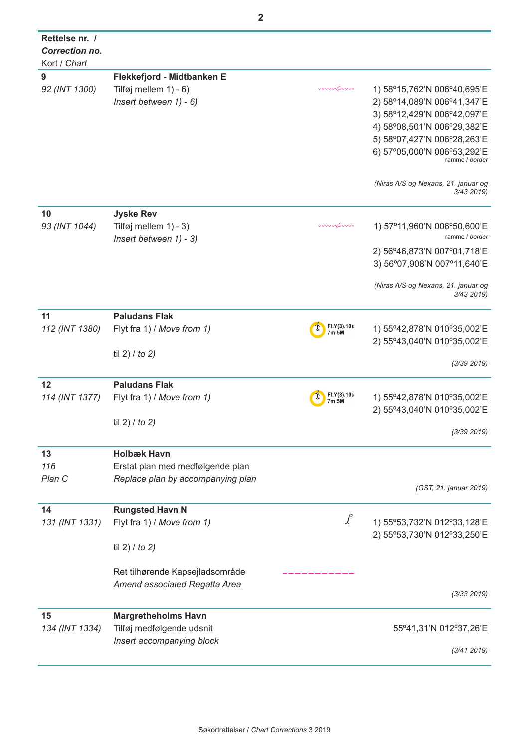| Rettelse nr. /<br>Correction no.<br>Kort / Chart |                                   |                      |                                                   |
|--------------------------------------------------|-----------------------------------|----------------------|---------------------------------------------------|
|                                                  |                                   |                      |                                                   |
| 9                                                | Flekkefjord - Midtbanken E        |                      |                                                   |
| 92 (INT 1300)                                    | Tilføj mellem $1$ ) - 6)          | mmsnn                | 1) 58°15,762'N 006°40,695'E                       |
|                                                  | Insert between 1) - 6)            |                      | 2) 58°14,089'N 006°41,347'E                       |
|                                                  |                                   |                      | 3) 58°12,429'N 006°42,097'E                       |
|                                                  |                                   |                      |                                                   |
|                                                  |                                   |                      | 4) 58°08,501'N 006°29,382'E                       |
|                                                  |                                   |                      | 5) 58°07,427'N 006°28,263'E                       |
|                                                  |                                   |                      | 6) 57°05,000'N 006°53,292'E                       |
|                                                  |                                   |                      | ramme / border                                    |
|                                                  |                                   |                      | (Niras A/S og Nexans, 21. januar og<br>3/43 2019) |
| 10                                               | <b>Jyske Rev</b>                  |                      |                                                   |
| 93 (INT 1044)                                    | Tilføj mellem 1) - 3)             | mmsnn                | 1) 57°11,960'N 006°50,600'E                       |
|                                                  | Insert between 1) - 3)            |                      | ramme / border                                    |
|                                                  |                                   |                      | 2) 56°46,873'N 007°01,718'E                       |
|                                                  |                                   |                      | 3) 56°07,908'N 007°11,640'E                       |
|                                                  |                                   |                      | (Niras A/S og Nexans, 21. januar og<br>3/43 2019) |
|                                                  |                                   |                      |                                                   |
| 11                                               | <b>Paludans Flak</b>              |                      |                                                   |
| 112 (INT 1380)                                   | Flyt fra 1) / Move from 1)        | FI.Y(3).10s<br>7m 5M | 1) 55°42,878'N 010°35,002'E                       |
|                                                  |                                   |                      | 2) 55°43,040'N 010°35,002'E                       |
|                                                  | til 2) $/$ to 2)                  |                      |                                                   |
|                                                  |                                   |                      | (3/39 2019)                                       |
| 12                                               | <b>Paludans Flak</b>              |                      |                                                   |
| 114 (INT 1377)                                   | Flyt fra 1) / Move from 1)        | FI.Y(3).10s<br>7m 5M | 1) 55°42,878'N 010°35,002'E                       |
|                                                  |                                   |                      | 2) 55°43,040'N 010°35,002'E                       |
|                                                  | til 2) $/$ to 2)                  |                      |                                                   |
|                                                  |                                   |                      | (3/39 2019)                                       |
| 13                                               | <b>Holbæk Havn</b>                |                      |                                                   |
| 116                                              | Erstat plan med medfølgende plan  |                      |                                                   |
| Plan C                                           | Replace plan by accompanying plan |                      |                                                   |
|                                                  |                                   |                      | (GST, 21. januar 2019)                            |
| 14                                               | <b>Rungsted Havn N</b>            |                      |                                                   |
|                                                  | Flyt fra 1) / Move from 1)        | $\int$               | 1) 55°53,732'N 012°33,128'E                       |
| 131 (INT 1331)                                   |                                   |                      |                                                   |
|                                                  |                                   |                      | 2) 55°53,730'N 012°33,250'E                       |
|                                                  | til 2) $/$ to 2)                  |                      |                                                   |
|                                                  | Ret tilhørende Kapsejladsområde   |                      |                                                   |
|                                                  |                                   |                      |                                                   |
|                                                  | Amend associated Regatta Area     |                      | (3/33 2019)                                       |
|                                                  |                                   |                      |                                                   |
| 15                                               | <b>Margretheholms Havn</b>        |                      |                                                   |
| 134 (INT 1334)                                   | Tilføj medfølgende udsnit         |                      | 55°41,31'N 012°37,26'E                            |
|                                                  | Insert accompanying block         |                      |                                                   |
|                                                  |                                   |                      | (3/41 2019)                                       |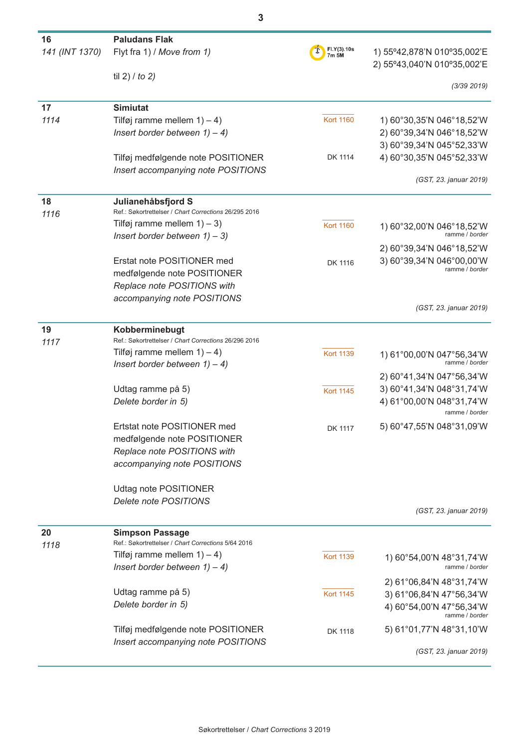| 16             | <b>Paludans Flak</b>                                                                    |                      |                                                            |
|----------------|-----------------------------------------------------------------------------------------|----------------------|------------------------------------------------------------|
| 141 (INT 1370) | Flyt fra 1) / Move from 1)                                                              | FI.Y(3).10s<br>7m 5M | 1) 55°42,878'N 010°35,002'E<br>2) 55°43,040'N 010°35,002'E |
|                | til 2) $/$ to 2)                                                                        |                      |                                                            |
|                |                                                                                         |                      | (3/39 2019)                                                |
| 17             | <b>Simiutat</b>                                                                         |                      |                                                            |
| 1114           | Tilføj ramme mellem $1$ ) – 4)                                                          | <b>Kort 1160</b>     | 1) 60°30,35'N 046°18,52'W                                  |
|                | Insert border between $1) - 4$ )                                                        |                      | 2) 60°39,34'N 046°18,52'W                                  |
|                |                                                                                         |                      | 3) 60°39,34'N 045°52,33'W                                  |
|                | Tilføj medfølgende note POSITIONER                                                      | DK 1114              | 4) 60°30,35'N 045°52,33'W                                  |
|                | Insert accompanying note POSITIONS                                                      |                      |                                                            |
|                |                                                                                         |                      | (GST, 23. januar 2019)                                     |
| 18             | Julianehåbsfjord S                                                                      |                      |                                                            |
| 1116           | Ref.: Søkortrettelser / Chart Corrections 26/295 2016                                   |                      |                                                            |
|                | Tilføj ramme mellem $1$ ) – 3)                                                          | <b>Kort 1160</b>     | 1) 60°32,00'N 046°18,52'W                                  |
|                | Insert border between $1) - 3$ )                                                        |                      | ramme / border                                             |
|                |                                                                                         |                      | 2) 60°39,34'N 046°18,52'W                                  |
|                | Erstat note POSITIONER med                                                              | DK 1116              | 3) 60°39,34'N 046°00,00'W<br>ramme / <i>border</i>         |
|                | medfølgende note POSITIONER                                                             |                      |                                                            |
|                | Replace note POSITIONS with                                                             |                      |                                                            |
|                | accompanying note POSITIONS                                                             |                      | (GST, 23. januar 2019)                                     |
|                |                                                                                         |                      |                                                            |
| 19             | Kobberminebugt                                                                          |                      |                                                            |
| 1117           | Ref.: Søkortrettelser / Chart Corrections 26/296 2016<br>Tilføj ramme mellem $1$ ) – 4) |                      |                                                            |
|                | Insert border between $1) - 4$ )                                                        | <b>Kort 1139</b>     | 1) 61°00,00'N 047°56,34'W<br>ramme / border                |
|                |                                                                                         |                      | 2) 60°41,34'N 047°56,34'W                                  |
|                | Udtag ramme på 5)                                                                       | <b>Kort 1145</b>     | 3) 60°41,34'N 048°31,74'W                                  |
|                | Delete border in 5)                                                                     |                      | 4) 61°00,00'N 048°31,74'W                                  |
|                |                                                                                         |                      | ramme / border                                             |
|                | Ertstat note POSITIONER med                                                             | DK 1117              | 5) 60°47,55'N 048°31,09'W                                  |
|                | medfølgende note POSITIONER                                                             |                      |                                                            |
|                | Replace note POSITIONS with                                                             |                      |                                                            |
|                | accompanying note POSITIONS                                                             |                      |                                                            |
|                |                                                                                         |                      |                                                            |
|                | Udtag note POSITIONER                                                                   |                      |                                                            |
|                | Delete note POSITIONS                                                                   |                      |                                                            |
|                |                                                                                         |                      | (GST, 23. januar 2019)                                     |
| 20             | <b>Simpson Passage</b>                                                                  |                      |                                                            |
| 1118           | Ref.: Søkortrettelser / Chart Corrections 5/64 2016                                     |                      |                                                            |
|                | Tilføj ramme mellem $1$ ) – 4)                                                          | <b>Kort 1139</b>     | 1) 60°54,00'N 48°31,74'W                                   |
|                | Insert border between $1) - 4$ )                                                        |                      | ramme / border                                             |
|                |                                                                                         |                      | 2) 61°06,84'N 48°31,74'W                                   |
|                | Udtag ramme på 5)                                                                       | <b>Kort 1145</b>     | 3) 61°06,84'N 47°56,34'W                                   |
|                | Delete border in 5)                                                                     |                      | 4) 60°54,00'N 47°56,34'W<br>ramme / border                 |
|                | Tilføj medfølgende note POSITIONER                                                      | DK 1118              | 5) 61°01,77'N 48°31,10'W                                   |
|                | Insert accompanying note POSITIONS                                                      |                      |                                                            |
|                |                                                                                         |                      | (GST, 23. januar 2019)                                     |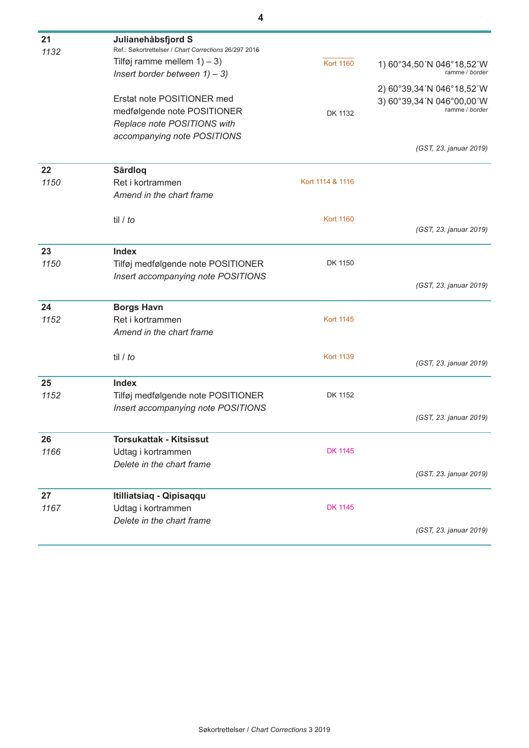| 21   | Julianehåbsfjord S                                    |                  |                                               |
|------|-------------------------------------------------------|------------------|-----------------------------------------------|
| 1132 | Ref.: Søkortrettelser / Chart Corrections 26/297 2016 |                  |                                               |
|      | Tilføj ramme mellem $1$ ) – 3)                        | <b>Kort 1160</b> | 1) 60°34,50'N 046°18,52'W<br>ramme / border   |
|      | Insert border between $1) - 3$ )                      |                  |                                               |
|      |                                                       |                  | 2) 60°39,34 'N 046°18,52 'W                   |
|      | Erstat note POSITIONER med                            |                  | 3) 60°39,34 'N 046°00,00 'W<br>ramme / border |
|      | medfølgende note POSITIONER                           | DK 1132          |                                               |
|      | Replace note POSITIONS with                           |                  |                                               |
|      | accompanying note POSITIONS                           |                  |                                               |
|      |                                                       |                  | (GST, 23. januar 2019)                        |
| 22   | <b>Sârdlog</b>                                        |                  |                                               |
| 1150 | Ret i kortrammen                                      | Kort 1114 & 1116 |                                               |
|      | Amend in the chart frame                              |                  |                                               |
|      |                                                       |                  |                                               |
|      | til $/$ to                                            | <b>Kort 1160</b> | (GST, 23. januar 2019)                        |
|      |                                                       |                  |                                               |
| 23   | <b>Index</b>                                          |                  |                                               |
| 1150 | Tilføj medfølgende note POSITIONER                    | DK 1150          |                                               |
|      | Insert accompanying note POSITIONS                    |                  |                                               |
|      |                                                       |                  | (GST, 23. januar 2019)                        |
| 24   | <b>Borgs Havn</b>                                     |                  |                                               |
| 1152 | Ret i kortrammen                                      | <b>Kort 1145</b> |                                               |
|      | Amend in the chart frame                              |                  |                                               |
|      |                                                       |                  |                                               |
|      | til / to                                              | <b>Kort 1139</b> | (GST, 23. januar 2019)                        |
|      |                                                       |                  |                                               |
| 25   | <b>Index</b>                                          |                  |                                               |
| 1152 | Tilføj medfølgende note POSITIONER                    | DK 1152          |                                               |
|      | Insert accompanying note POSITIONS                    |                  |                                               |
|      |                                                       |                  | (GST, 23. januar 2019)                        |
| 26   | <b>Torsukattak - Kitsissut</b>                        |                  |                                               |
| 1166 | Udtag i kortrammen                                    | <b>DK 1145</b>   |                                               |
|      | Delete in the chart frame                             |                  |                                               |
|      |                                                       |                  | (GST, 23. januar 2019)                        |
| 27   | Itilliatsiaq - Qipisaqqu                              |                  |                                               |
| 1167 | Udtag i kortrammen                                    | <b>DK 1145</b>   |                                               |
|      | Delete in the chart frame                             |                  |                                               |
|      |                                                       |                  | (GST, 23. januar 2019)                        |
|      |                                                       |                  |                                               |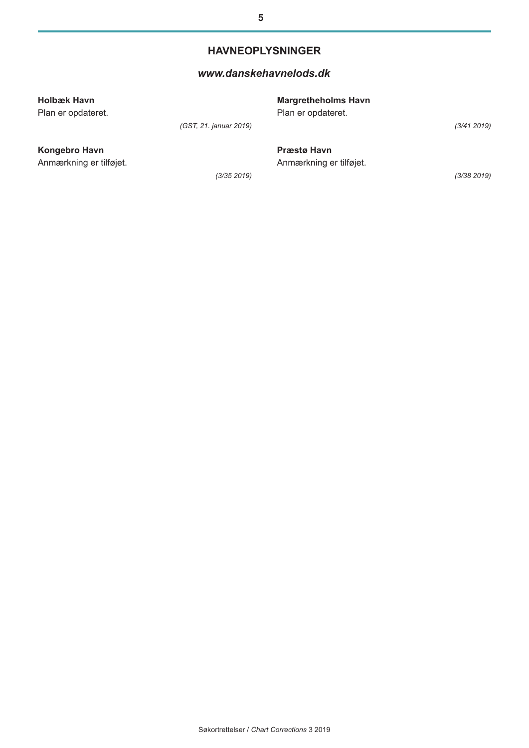#### **HAVNEOPLYSNINGER**

#### *[www.danskehavnelods.dk](http://www.danskehavnelods.dk/)*

| Holbæk Havn<br>Plan er opdateret. |                        | <b>Margretheholms Havn</b><br>Plan er opdateret. |             |
|-----------------------------------|------------------------|--------------------------------------------------|-------------|
|                                   | (GST, 21. januar 2019) |                                                  | (3/41 2019) |
| Kongebro Havn                     |                        | <b>Præstø Havn</b>                               |             |
| Anmærkning er tilføjet.           |                        | Anmærkning er tilføjet.                          |             |
|                                   | (3/35 2019)            |                                                  | (3/38 2019) |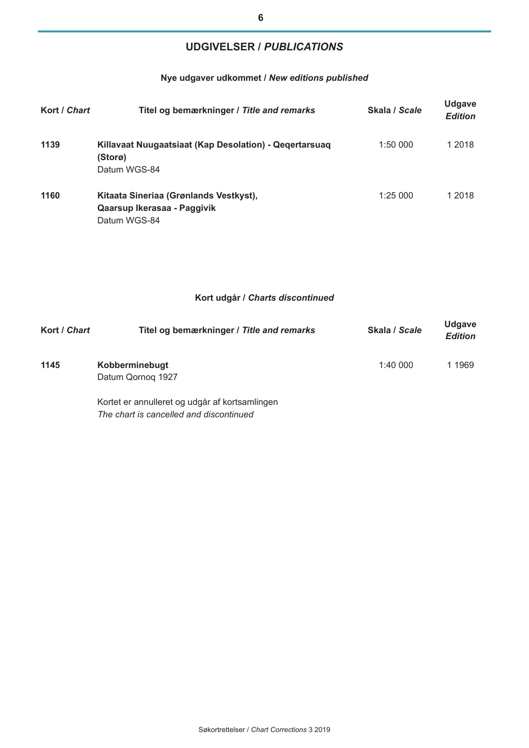## **UDGIVELSER /** *PUBLICATIONS*

### **Nye udgaver udkommet /** *New editions published*

| Kort / Chart | Titel og bemærkninger / Title and remarks                                             | Skala / Scale | <b>Udgave</b><br><b>Edition</b> |
|--------------|---------------------------------------------------------------------------------------|---------------|---------------------------------|
| 1139         | Killavaat Nuugaatsiaat (Kap Desolation) - Qegertarsuag<br>(Storø)<br>Datum WGS-84     | 1:50000       | 1 2018                          |
| 1160         | Kitaata Sineriaa (Grønlands Vestkyst),<br>Qaarsup Ikerasaa - Paggivik<br>Datum WGS-84 | 1:25000       | 1 2018                          |

#### **Kort udgår /** *Charts discontinued*

| Kort / Chart | Titel og bemærkninger / Title and remarks | Skala / Scale | <b>Udgave</b><br><b>Edition</b> |
|--------------|-------------------------------------------|---------------|---------------------------------|
| 1145         | Kobberminebugt<br>Datum Qornog 1927       | 1:40000       | 1 1969                          |

Kortet er annulleret og udgår af kortsamlingen *The chart is cancelled and discontinued*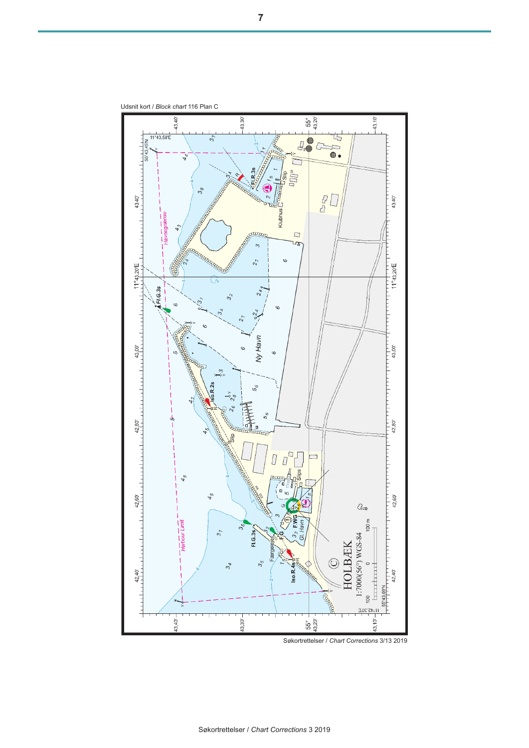

Udsnit kort / *Block chart* 116 Plan C

Søkortrettelser / *Chart Corrections* 3/13 2019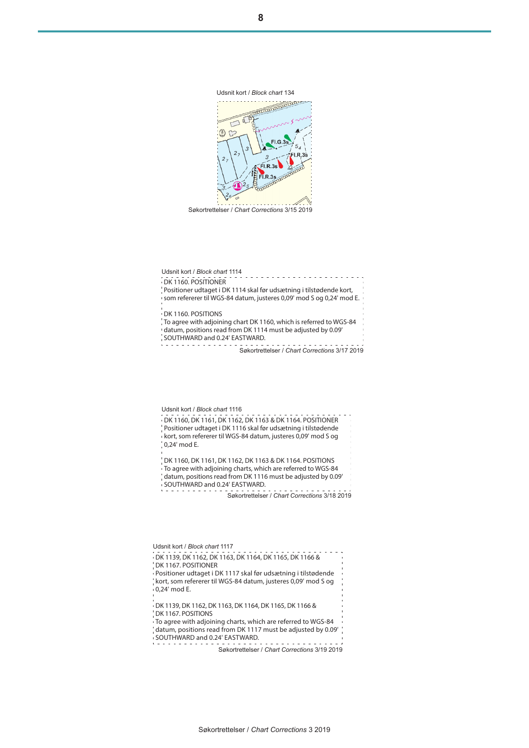DK 1139, DK 1162, DK 1163, DK 1164, DK 1165, DK 1166 & DK 1167. POSITIONER Positioner udtaget i DK 1117 skal før udsætning i tilstødende kort, som refererer til WGS-84 datum, justeres 0,09' mod S og 0,24' mod E. DK 1139, DK 1162, DK 1163, DK 1164, DK 1165, DK 1166 & DK 1167. POSITIONS To agree with adjoining charts, which are referred to WGS-84 datum, positions read from DK 1117 must be adjusted by 0.09' SOUTHWARD and 0.24' EASTWARD.<u>a a a a a a a a a a</u> Søkortrettelser / *Chart Corrections* 3/19 2019

Søkortrettelser / *Chart Corrections* 3/18 2019

 $\sim$   $\sim$ 

Søkortrettelser / *Chart Corrections* 3/17 2019

Søkortrettelser / *Chart Corrections* 3/15 2019

Udsnit kort / *Block chart* 1116

SOUTHWARD and 0.24' EASTWARD.

0,24' mod E.

SOUTHWARD and 0.24' EASTWARD.

Udsnit kort / *Block chart* 1117

Udsnit kort / *Block chart* 1114

DK 1160. POSITIONER

DK 1160. POSITIONS



Positioner udtaget i DK 1114 skal før udsætning i tilstødende kort, som refererer til WGS-84 datum, justeres 0,09' mod S og 0,24' mod E.

To agree with adjoining chart DK 1160, which is referred to WGS-84 datum, positions read from DK 1114 must be adjusted by 0.09'

DK 1160, DK 1161, DK 1162, DK 1163 & DK 1164. POSITIONER Positioner udtaget i DK 1116 skal før udsætning i tilstødende kort, som refererer til WGS-84 datum, justeres 0,09' mod S og

DK 1160, DK 1161, DK 1162, DK 1163 & DK 1164. POSITIONS To agree with adjoining charts, which are referred to WGS-84 datum, positions read from DK 1116 must be adjusted by 0.09'